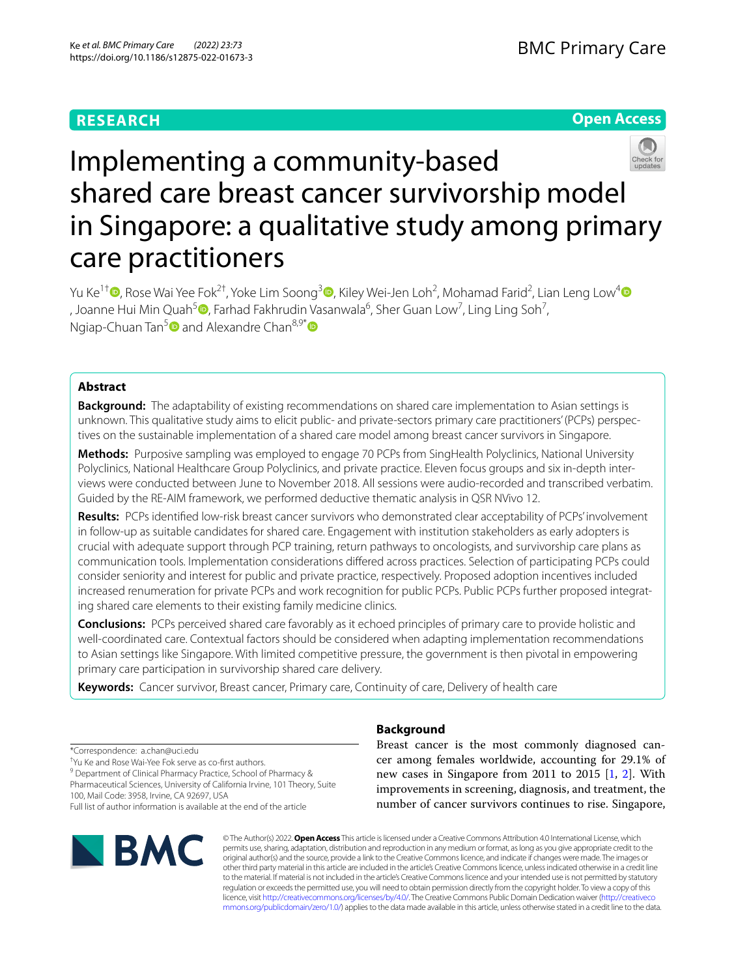# **RESEARCH**

**Open Access**



# Implementing a community-based shared care breast cancer survivorship model in Singapore: a qualitative study among primary care practitioners

Yu Ke $^{1\dagger}$ @[,](https://orcid.org/0000-0001-7587-3015) Rose Wai Yee Fok $^{2\dagger}$ [,](https://orcid.org/0000-0003-3677-8669) Yoke Lim Soong $^3$ ©, Kiley Wei-Jen Loh<sup>2</sup>, Mohamad Farid<sup>2</sup>, Lian Leng Low<sup>[4](https://orcid.org/0000-0003-4228-2862)</sup> [,](https://orcid.org/0000-0001-8905-8353) Joanne Hui Min Quah<sup>5</sup> $\textcircled{\textsf{P}}$ , Farhad Fakhrudin Vasanwala $^6$ , Sher Guan Low<sup>7</sup>, Ling Ling Soh<sup>7</sup>, Ngiap-Chuan Tan<sup>[5](https://orcid.org/0000-0002-5946-1149)</sup> and Alexandre Chan<sup>8,9[\\*](https://orcid.org/0000-0003-4391-4219)</sup>

# **Abstract**

**Background:** The adaptability of existing recommendations on shared care implementation to Asian settings is unknown. This qualitative study aims to elicit public- and private-sectors primary care practitioners' (PCPs) perspec‑ tives on the sustainable implementation of a shared care model among breast cancer survivors in Singapore.

**Methods:** Purposive sampling was employed to engage 70 PCPs from SingHealth Polyclinics, National University Polyclinics, National Healthcare Group Polyclinics, and private practice. Eleven focus groups and six in-depth interviews were conducted between June to November 2018. All sessions were audio-recorded and transcribed verbatim. Guided by the RE-AIM framework, we performed deductive thematic analysis in QSR NVivo 12.

**Results:** PCPs identifed low-risk breast cancer survivors who demonstrated clear acceptability of PCPs' involvement in follow-up as suitable candidates for shared care. Engagement with institution stakeholders as early adopters is crucial with adequate support through PCP training, return pathways to oncologists, and survivorship care plans as communication tools. Implementation considerations difered across practices. Selection of participating PCPs could consider seniority and interest for public and private practice, respectively. Proposed adoption incentives included increased renumeration for private PCPs and work recognition for public PCPs. Public PCPs further proposed integrating shared care elements to their existing family medicine clinics.

**Conclusions:** PCPs perceived shared care favorably as it echoed principles of primary care to provide holistic and well-coordinated care. Contextual factors should be considered when adapting implementation recommendations to Asian settings like Singapore. With limited competitive pressure, the government is then pivotal in empowering primary care participation in survivorship shared care delivery.

**Keywords:** Cancer survivor, Breast cancer, Primary care, Continuity of care, Delivery of health care

\*Correspondence: a.chan@uci.edu † Yu Ke and Rose Wai-Yee Fok serve as co-frst authors.

<sup>9</sup> Department of Clinical Pharmacy Practice, School of Pharmacy & Pharmaceutical Sciences, University of California Irvine, 101 Theory, Suite

100, Mail Code: 3958, Irvine, CA 92697, USA

Full list of author information is available at the end of the article



# **Background**

Breast cancer is the most commonly diagnosed cancer among females worldwide, accounting for 29.1% of new cases in Singapore from 2011 to 2015 [[1,](#page-7-0) [2\]](#page-7-1). With improvements in screening, diagnosis, and treatment, the number of cancer survivors continues to rise. Singapore,

© The Author(s) 2022. **Open Access** This article is licensed under a Creative Commons Attribution 4.0 International License, which permits use, sharing, adaptation, distribution and reproduction in any medium or format, as long as you give appropriate credit to the original author(s) and the source, provide a link to the Creative Commons licence, and indicate if changes were made. The images or other third party material in this article are included in the article's Creative Commons licence, unless indicated otherwise in a credit line to the material. If material is not included in the article's Creative Commons licence and your intended use is not permitted by statutory regulation or exceeds the permitted use, you will need to obtain permission directly from the copyright holder. To view a copy of this licence, visit [http://creativecommons.org/licenses/by/4.0/.](http://creativecommons.org/licenses/by/4.0/) The Creative Commons Public Domain Dedication waiver ([http://creativeco](http://creativecommons.org/publicdomain/zero/1.0/) [mmons.org/publicdomain/zero/1.0/](http://creativecommons.org/publicdomain/zero/1.0/)) applies to the data made available in this article, unless otherwise stated in a credit line to the data.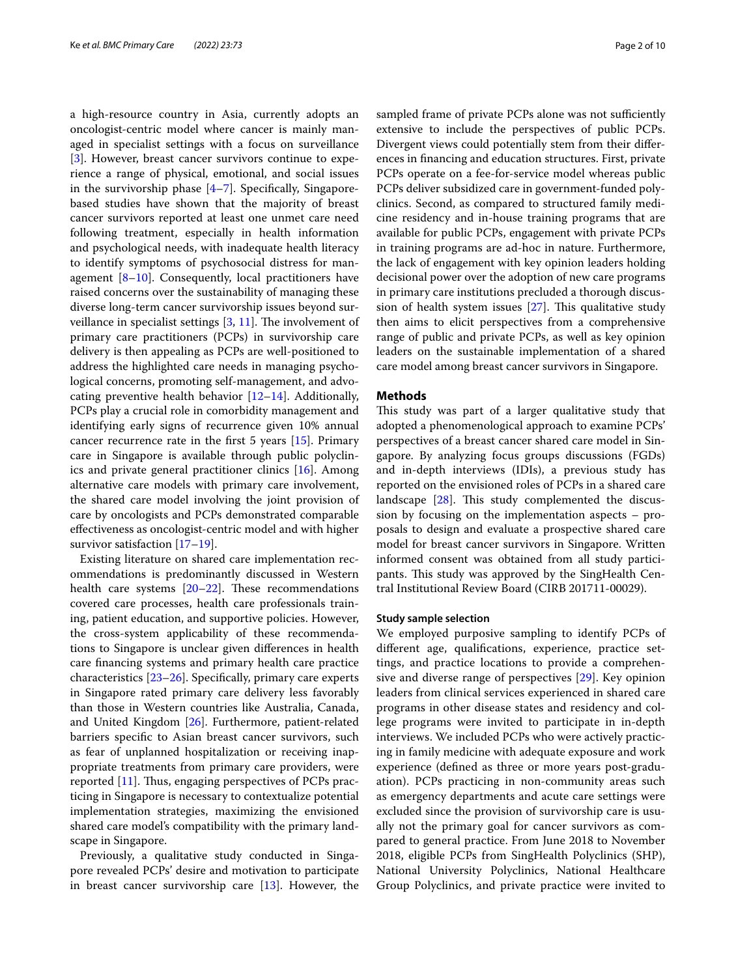a high-resource country in Asia, currently adopts an oncologist-centric model where cancer is mainly managed in specialist settings with a focus on surveillance [[3\]](#page-7-2). However, breast cancer survivors continue to experience a range of physical, emotional, and social issues in the survivorship phase  $[4-7]$  $[4-7]$ . Specifically, Singaporebased studies have shown that the majority of breast cancer survivors reported at least one unmet care need following treatment, especially in health information and psychological needs, with inadequate health literacy to identify symptoms of psychosocial distress for management  $[8-10]$  $[8-10]$ . Consequently, local practitioners have raised concerns over the sustainability of managing these diverse long-term cancer survivorship issues beyond surveillance in specialist settings  $[3, 11]$  $[3, 11]$  $[3, 11]$  $[3, 11]$ . The involvement of primary care practitioners (PCPs) in survivorship care delivery is then appealing as PCPs are well-positioned to address the highlighted care needs in managing psychological concerns, promoting self-management, and advocating preventive health behavior [[12](#page-7-8)[–14](#page-8-0)]. Additionally, PCPs play a crucial role in comorbidity management and identifying early signs of recurrence given 10% annual cancer recurrence rate in the frst 5 years [\[15](#page-8-1)]. Primary care in Singapore is available through public polyclinics and private general practitioner clinics [\[16\]](#page-8-2). Among alternative care models with primary care involvement, the shared care model involving the joint provision of care by oncologists and PCPs demonstrated comparable efectiveness as oncologist-centric model and with higher survivor satisfaction [[17–](#page-8-3)[19](#page-8-4)].

Existing literature on shared care implementation recommendations is predominantly discussed in Western health care systems  $[20-22]$  $[20-22]$  $[20-22]$ . These recommendations covered care processes, health care professionals training, patient education, and supportive policies. However, the cross-system applicability of these recommendations to Singapore is unclear given diferences in health care fnancing systems and primary health care practice characteristics [[23](#page-8-7)[–26](#page-8-8)]. Specifcally, primary care experts in Singapore rated primary care delivery less favorably than those in Western countries like Australia, Canada, and United Kingdom [[26\]](#page-8-8). Furthermore, patient-related barriers specifc to Asian breast cancer survivors, such as fear of unplanned hospitalization or receiving inappropriate treatments from primary care providers, were reported [\[11](#page-7-7)]. Thus, engaging perspectives of PCPs practicing in Singapore is necessary to contextualize potential implementation strategies, maximizing the envisioned shared care model's compatibility with the primary landscape in Singapore.

Previously, a qualitative study conducted in Singapore revealed PCPs' desire and motivation to participate in breast cancer survivorship care  $[13]$  $[13]$  $[13]$ . However, the sampled frame of private PCPs alone was not sufficiently extensive to include the perspectives of public PCPs. Divergent views could potentially stem from their diferences in fnancing and education structures. First, private PCPs operate on a fee-for-service model whereas public PCPs deliver subsidized care in government-funded polyclinics. Second, as compared to structured family medicine residency and in-house training programs that are available for public PCPs, engagement with private PCPs in training programs are ad-hoc in nature. Furthermore, the lack of engagement with key opinion leaders holding decisional power over the adoption of new care programs in primary care institutions precluded a thorough discussion of health system issues  $[27]$  $[27]$  $[27]$ . This qualitative study then aims to elicit perspectives from a comprehensive range of public and private PCPs, as well as key opinion leaders on the sustainable implementation of a shared care model among breast cancer survivors in Singapore.

## **Methods**

This study was part of a larger qualitative study that adopted a phenomenological approach to examine PCPs' perspectives of a breast cancer shared care model in Singapore. By analyzing focus groups discussions (FGDs) and in-depth interviews (IDIs), a previous study has reported on the envisioned roles of PCPs in a shared care landscape  $[28]$  $[28]$ . This study complemented the discussion by focusing on the implementation aspects – proposals to design and evaluate a prospective shared care model for breast cancer survivors in Singapore. Written informed consent was obtained from all study participants. This study was approved by the SingHealth Central Institutional Review Board (CIRB 201711-00029).

#### **Study sample selection**

We employed purposive sampling to identify PCPs of diferent age, qualifcations, experience, practice settings, and practice locations to provide a comprehensive and diverse range of perspectives [\[29](#page-8-11)]. Key opinion leaders from clinical services experienced in shared care programs in other disease states and residency and college programs were invited to participate in in-depth interviews. We included PCPs who were actively practicing in family medicine with adequate exposure and work experience (defned as three or more years post-graduation). PCPs practicing in non-community areas such as emergency departments and acute care settings were excluded since the provision of survivorship care is usually not the primary goal for cancer survivors as compared to general practice. From June 2018 to November 2018, eligible PCPs from SingHealth Polyclinics (SHP), National University Polyclinics, National Healthcare Group Polyclinics, and private practice were invited to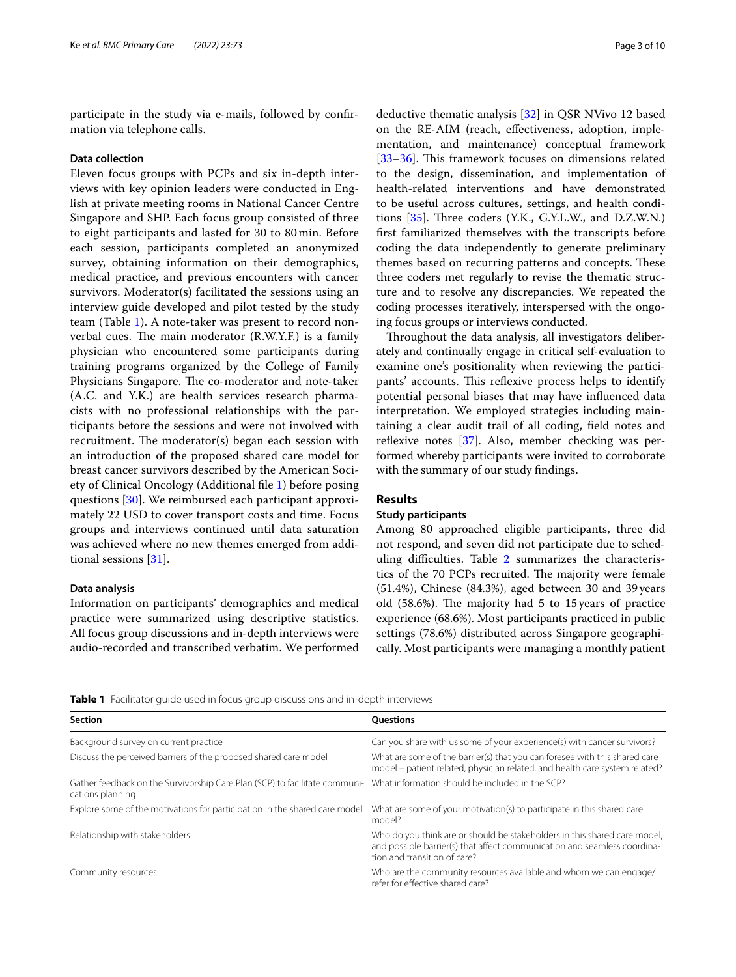participate in the study via e-mails, followed by confrmation via telephone calls.

#### **Data collection**

Eleven focus groups with PCPs and six in-depth interviews with key opinion leaders were conducted in English at private meeting rooms in National Cancer Centre Singapore and SHP. Each focus group consisted of three to eight participants and lasted for 30 to 80min. Before each session, participants completed an anonymized survey, obtaining information on their demographics, medical practice, and previous encounters with cancer survivors. Moderator(s) facilitated the sessions using an interview guide developed and pilot tested by the study team (Table [1\)](#page-2-0). A note-taker was present to record nonverbal cues. The main moderator  $(R.W.Y.F.)$  is a family physician who encountered some participants during training programs organized by the College of Family Physicians Singapore. The co-moderator and note-taker (A.C. and Y.K.) are health services research pharmacists with no professional relationships with the participants before the sessions and were not involved with recruitment. The moderator(s) began each session with an introduction of the proposed shared care model for breast cancer survivors described by the American Society of Clinical Oncology (Additional fle [1\)](#page-7-10) before posing questions [[30\]](#page-8-12). We reimbursed each participant approximately 22 USD to cover transport costs and time. Focus groups and interviews continued until data saturation was achieved where no new themes emerged from additional sessions [[31\]](#page-8-13).

## **Data analysis**

Information on participants' demographics and medical practice were summarized using descriptive statistics. All focus group discussions and in-depth interviews were audio-recorded and transcribed verbatim. We performed deductive thematic analysis [\[32](#page-8-14)] in QSR NVivo 12 based on the RE-AIM (reach, efectiveness, adoption, implementation, and maintenance) conceptual framework [[33–](#page-8-15)[36\]](#page-8-16). This framework focuses on dimensions related to the design, dissemination, and implementation of health-related interventions and have demonstrated to be useful across cultures, settings, and health conditions  $[35]$ . Three coders (Y.K., G.Y.L.W., and D.Z.W.N.) frst familiarized themselves with the transcripts before coding the data independently to generate preliminary themes based on recurring patterns and concepts. These three coders met regularly to revise the thematic structure and to resolve any discrepancies. We repeated the coding processes iteratively, interspersed with the ongoing focus groups or interviews conducted.

Throughout the data analysis, all investigators deliberately and continually engage in critical self-evaluation to examine one's positionality when reviewing the participants' accounts. This reflexive process helps to identify potential personal biases that may have infuenced data interpretation. We employed strategies including maintaining a clear audit trail of all coding, feld notes and reflexive notes  $[37]$  $[37]$ . Also, member checking was performed whereby participants were invited to corroborate with the summary of our study fndings.

## **Results**

## **Study participants**

Among 80 approached eligible participants, three did not respond, and seven did not participate due to scheduling difficulties. Table  $2$  summarizes the characteristics of the 70 PCPs recruited. The majority were female (51.4%), Chinese (84.3%), aged between 30 and 39 years old  $(58.6%)$ . The majority had 5 to 15 years of practice experience (68.6%). Most participants practiced in public settings (78.6%) distributed across Singapore geographically. Most participants were managing a monthly patient

<span id="page-2-0"></span>**Table 1** Facilitator guide used in focus group discussions and in-depth interviews

| <b>Section</b>                                                                                                                                 | <b>Ouestions</b>                                                                                                                                                                      |
|------------------------------------------------------------------------------------------------------------------------------------------------|---------------------------------------------------------------------------------------------------------------------------------------------------------------------------------------|
| Background survey on current practice                                                                                                          | Can you share with us some of your experience(s) with cancer survivors?                                                                                                               |
| Discuss the perceived barriers of the proposed shared care model                                                                               | What are some of the barrier(s) that you can foresee with this shared care<br>model – patient related, physician related, and health care system related?                             |
| Gather feedback on the Survivorship Care Plan (SCP) to facilitate communi- What information should be included in the SCP?<br>cations planning |                                                                                                                                                                                       |
| Explore some of the motivations for participation in the shared care model                                                                     | What are some of your motivation(s) to participate in this shared care<br>model?                                                                                                      |
| Relationship with stakeholders                                                                                                                 | Who do you think are or should be stakeholders in this shared care model,<br>and possible barrier(s) that affect communication and seamless coordina-<br>tion and transition of care? |
| Community resources                                                                                                                            | Who are the community resources available and whom we can engage/<br>refer for effective shared care?                                                                                 |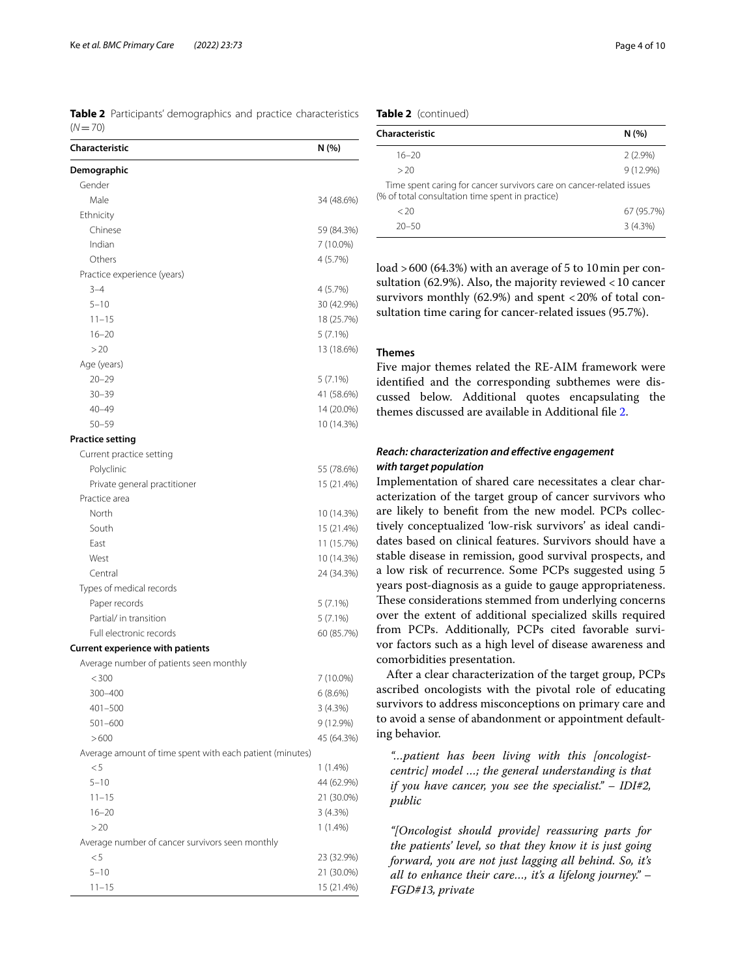<span id="page-3-0"></span>**Table 2** Participants' demographics and practice characteristics  $(N=70)$ 

| Characteristic                                           | N (%)      |
|----------------------------------------------------------|------------|
| Demographic                                              |            |
| Gender                                                   |            |
| Male                                                     | 34 (48.6%) |
| Ethnicity                                                |            |
| Chinese                                                  | 59 (84.3%) |
| Indian                                                   | 7 (10.0%)  |
| Others                                                   | 4 (5.7%)   |
| Practice experience (years)                              |            |
| $3 - 4$                                                  | 4(5.7%)    |
| $5 - 10$                                                 | 30 (42.9%) |
| $11 - 15$                                                | 18 (25.7%) |
| $16 - 20$                                                | $5(7.1\%)$ |
| >20                                                      | 13 (18.6%) |
| Age (years)                                              |            |
| $20 - 29$                                                | $5(7.1\%)$ |
| $30 - 39$                                                | 41 (58.6%) |
| $40 - 49$                                                | 14 (20.0%) |
| $50 - 59$                                                | 10 (14.3%) |
| <b>Practice setting</b>                                  |            |
| Current practice setting                                 |            |
| Polyclinic                                               | 55 (78.6%) |
| Private general practitioner                             | 15 (21.4%) |
| Practice area                                            |            |
| North                                                    | 10 (14.3%) |
| South                                                    | 15 (21.4%) |
| East                                                     | 11 (15.7%) |
| West                                                     | 10 (14.3%) |
| Central                                                  | 24 (34.3%) |
| Types of medical records                                 |            |
| Paper records                                            | $5(7.1\%)$ |
| Partial/ in transition                                   | $5(7.1\%)$ |
| Full electronic records                                  | 60 (85.7%) |
| <b>Current experience with patients</b>                  |            |
| Average number of patients seen monthly                  |            |
| < 300                                                    | 7 (10.0%)  |
| 300–400                                                  | 6(8.6%)    |
| $401 - 500$                                              | 3 (4.3%)   |
| 501-600                                                  | 9 (12.9%)  |
| >600                                                     | 45 (64.3%) |
| Average amount of time spent with each patient (minutes) |            |
| < 5                                                      | $1(1.4\%)$ |
| $5 - 10$                                                 | 44 (62.9%) |
| $11 - 15$                                                | 21 (30.0%) |
| $16 - 20$                                                | 3 (4.3%)   |
| >20                                                      | $1(1.4\%)$ |
| Average number of cancer survivors seen monthly          |            |
| < 5                                                      | 23 (32.9%) |
| $5 - 10$                                                 | 21 (30.0%) |
| $11 - 15$                                                | 15 (21.4%) |

## **Table 2** (continued)

| Characteristic                                                                                                           | N(%)        |
|--------------------------------------------------------------------------------------------------------------------------|-------------|
|                                                                                                                          |             |
| $16 - 20$                                                                                                                | $2(2.9\%)$  |
| >20                                                                                                                      | $9(12.9\%)$ |
| Time spent caring for cancer survivors care on cancer-related issues<br>(% of total consultation time spent in practice) |             |
| $<$ 20                                                                                                                   | 67 (95.7%)  |
| $20 - 50$                                                                                                                | 3(4.3%)     |

load >600 (64.3%) with an average of 5 to 10min per consultation (62.9%). Also, the majority reviewed <10 cancer survivors monthly  $(62.9\%)$  and spent <20% of total consultation time caring for cancer-related issues (95.7%).

## **Themes**

Five major themes related the RE-AIM framework were identifed and the corresponding subthemes were discussed below. Additional quotes encapsulating the themes discussed are available in Additional fle [2](#page-7-11).

# *Reach: characterization and efective engagement with target population*

Implementation of shared care necessitates a clear characterization of the target group of cancer survivors who are likely to beneft from the new model. PCPs collectively conceptualized 'low-risk survivors' as ideal candidates based on clinical features. Survivors should have a stable disease in remission, good survival prospects, and a low risk of recurrence. Some PCPs suggested using 5 years post-diagnosis as a guide to gauge appropriateness. These considerations stemmed from underlying concerns over the extent of additional specialized skills required from PCPs. Additionally, PCPs cited favorable survivor factors such as a high level of disease awareness and comorbidities presentation.

After a clear characterization of the target group, PCPs ascribed oncologists with the pivotal role of educating survivors to address misconceptions on primary care and to avoid a sense of abandonment or appointment defaulting behavior.

*"…patient has been living with this [oncologistcentric] model …; the general understanding is that if you have cancer, you see the specialist." – IDI#2, public*

*"[Oncologist should provide] reassuring parts for the patients' level, so that they know it is just going forward, you are not just lagging all behind. So, it's all to enhance their care…, it's a lifelong journey." – FGD#13, private*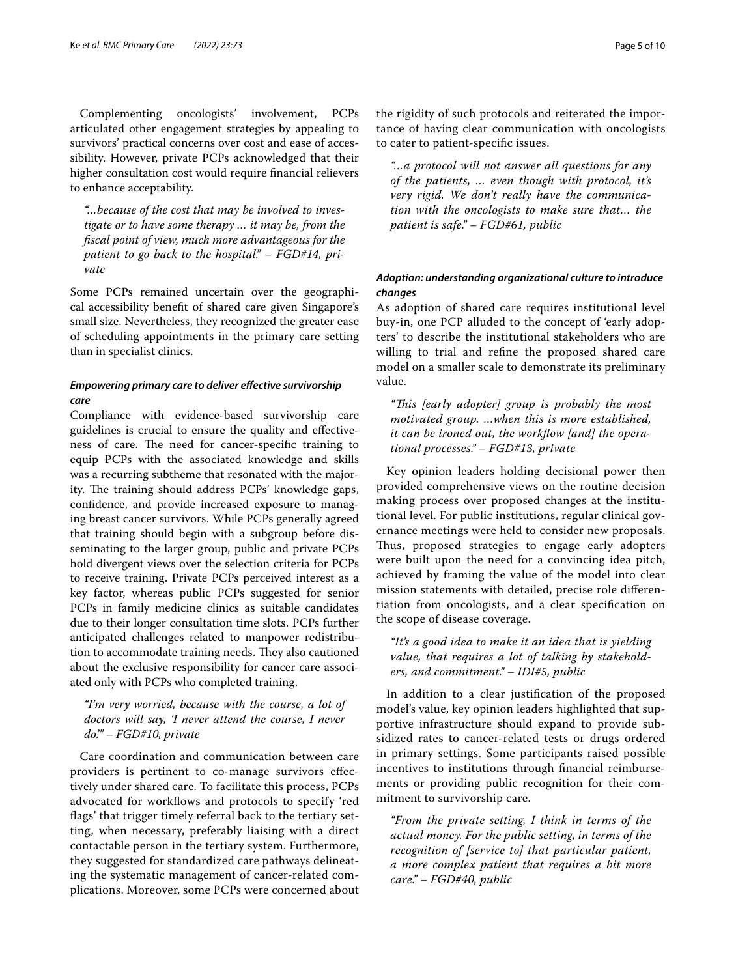Complementing oncologists' involvement, PCPs articulated other engagement strategies by appealing to survivors' practical concerns over cost and ease of accessibility. However, private PCPs acknowledged that their higher consultation cost would require fnancial relievers to enhance acceptability.

*"…because of the cost that may be involved to investigate or to have some therapy … it may be, from the fscal point of view, much more advantageous for the patient to go back to the hospital." – FGD#14, private*

Some PCPs remained uncertain over the geographical accessibility beneft of shared care given Singapore's small size. Nevertheless, they recognized the greater ease of scheduling appointments in the primary care setting than in specialist clinics.

# *Empowering primary care to deliver efective survivorship care*

Compliance with evidence-based survivorship care guidelines is crucial to ensure the quality and efectiveness of care. The need for cancer-specific training to equip PCPs with the associated knowledge and skills was a recurring subtheme that resonated with the majority. The training should address PCPs' knowledge gaps, confdence, and provide increased exposure to managing breast cancer survivors. While PCPs generally agreed that training should begin with a subgroup before disseminating to the larger group, public and private PCPs hold divergent views over the selection criteria for PCPs to receive training. Private PCPs perceived interest as a key factor, whereas public PCPs suggested for senior PCPs in family medicine clinics as suitable candidates due to their longer consultation time slots. PCPs further anticipated challenges related to manpower redistribution to accommodate training needs. They also cautioned about the exclusive responsibility for cancer care associated only with PCPs who completed training.

# *"I'm very worried, because with the course, a lot of doctors will say, 'I never attend the course, I never do.'" – FGD#10, private*

Care coordination and communication between care providers is pertinent to co-manage survivors efectively under shared care. To facilitate this process, PCPs advocated for workflows and protocols to specify 'red flags' that trigger timely referral back to the tertiary setting, when necessary, preferably liaising with a direct contactable person in the tertiary system. Furthermore, they suggested for standardized care pathways delineating the systematic management of cancer-related complications. Moreover, some PCPs were concerned about

the rigidity of such protocols and reiterated the importance of having clear communication with oncologists to cater to patient-specifc issues.

*"…a protocol will not answer all questions for any of the patients, … even though with protocol, it's very rigid. We don't really have the communication with the oncologists to make sure that… the patient is safe." – FGD#61, public*

# *Adoption: understanding organizational culture to introduce changes*

As adoption of shared care requires institutional level buy-in, one PCP alluded to the concept of 'early adopters' to describe the institutional stakeholders who are willing to trial and refne the proposed shared care model on a smaller scale to demonstrate its preliminary value.

*"Tis [early adopter] group is probably the most motivated group. …when this is more established, it can be ironed out, the workfow [and] the operational processes." – FGD#13, private*

Key opinion leaders holding decisional power then provided comprehensive views on the routine decision making process over proposed changes at the institutional level. For public institutions, regular clinical governance meetings were held to consider new proposals. Thus, proposed strategies to engage early adopters were built upon the need for a convincing idea pitch, achieved by framing the value of the model into clear mission statements with detailed, precise role diferentiation from oncologists, and a clear specifcation on the scope of disease coverage.

# *"It's a good idea to make it an idea that is yielding value, that requires a lot of talking by stakeholders, and commitment." – IDI#5, public*

In addition to a clear justifcation of the proposed model's value, key opinion leaders highlighted that supportive infrastructure should expand to provide subsidized rates to cancer-related tests or drugs ordered in primary settings. Some participants raised possible incentives to institutions through fnancial reimbursements or providing public recognition for their commitment to survivorship care.

*"From the private setting, I think in terms of the actual money. For the public setting, in terms of the recognition of [service to] that particular patient, a more complex patient that requires a bit more care." – FGD#40, public*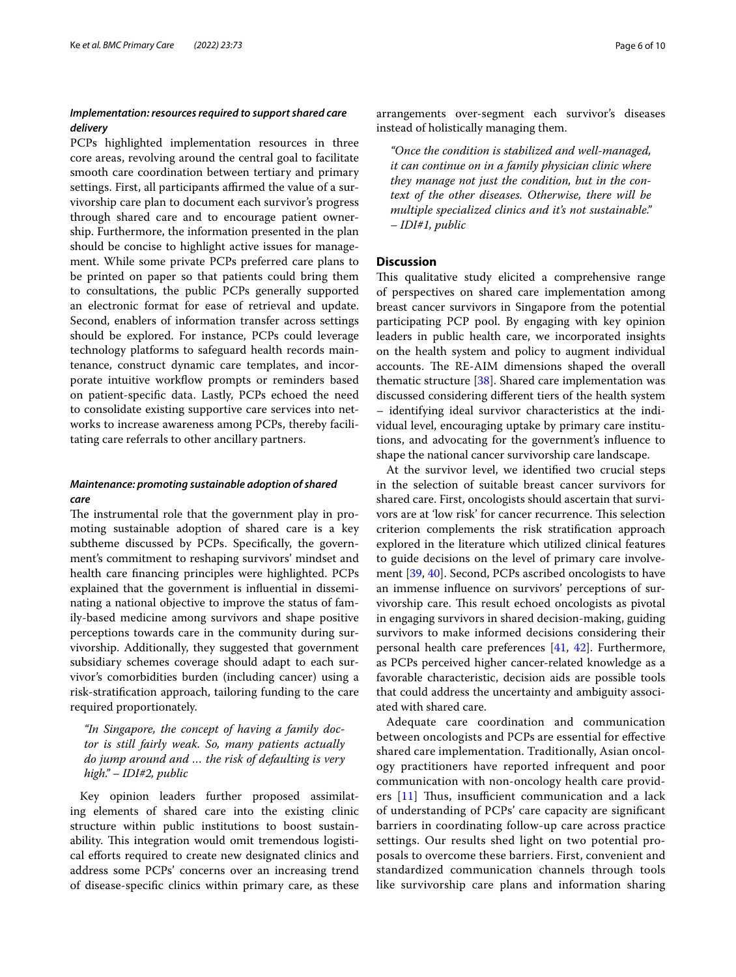# *Implementation: resources required to support shared care delivery*

PCPs highlighted implementation resources in three core areas, revolving around the central goal to facilitate smooth care coordination between tertiary and primary settings. First, all participants affirmed the value of a survivorship care plan to document each survivor's progress through shared care and to encourage patient ownership. Furthermore, the information presented in the plan should be concise to highlight active issues for management. While some private PCPs preferred care plans to be printed on paper so that patients could bring them to consultations, the public PCPs generally supported an electronic format for ease of retrieval and update. Second, enablers of information transfer across settings should be explored. For instance, PCPs could leverage technology platforms to safeguard health records maintenance, construct dynamic care templates, and incorporate intuitive workflow prompts or reminders based on patient-specifc data. Lastly, PCPs echoed the need to consolidate existing supportive care services into networks to increase awareness among PCPs, thereby facilitating care referrals to other ancillary partners.

# *Maintenance: promoting sustainable adoption of shared care*

The instrumental role that the government play in promoting sustainable adoption of shared care is a key subtheme discussed by PCPs. Specifcally, the government's commitment to reshaping survivors' mindset and health care fnancing principles were highlighted. PCPs explained that the government is infuential in disseminating a national objective to improve the status of family-based medicine among survivors and shape positive perceptions towards care in the community during survivorship. Additionally, they suggested that government subsidiary schemes coverage should adapt to each survivor's comorbidities burden (including cancer) using a risk-stratifcation approach, tailoring funding to the care required proportionately.

*"In Singapore, the concept of having a family doctor is still fairly weak. So, many patients actually do jump around and … the risk of defaulting is very high." – IDI#2, public*

Key opinion leaders further proposed assimilating elements of shared care into the existing clinic structure within public institutions to boost sustainability. This integration would omit tremendous logistical efforts required to create new designated clinics and address some PCPs' concerns over an increasing trend of disease-specifc clinics within primary care, as these arrangements over-segment each survivor's diseases instead of holistically managing them.

*"Once the condition is stabilized and well-managed, it can continue on in a family physician clinic where they manage not just the condition, but in the context of the other diseases. Otherwise, there will be multiple specialized clinics and it's not sustainable." – IDI#1, public*

## **Discussion**

This qualitative study elicited a comprehensive range of perspectives on shared care implementation among breast cancer survivors in Singapore from the potential participating PCP pool. By engaging with key opinion leaders in public health care, we incorporated insights on the health system and policy to augment individual accounts. The RE-AIM dimensions shaped the overall thematic structure  $[38]$  $[38]$  $[38]$ . Shared care implementation was discussed considering diferent tiers of the health system – identifying ideal survivor characteristics at the individual level, encouraging uptake by primary care institutions, and advocating for the government's infuence to shape the national cancer survivorship care landscape.

At the survivor level, we identifed two crucial steps in the selection of suitable breast cancer survivors for shared care. First, oncologists should ascertain that survivors are at 'low risk' for cancer recurrence. This selection criterion complements the risk stratifcation approach explored in the literature which utilized clinical features to guide decisions on the level of primary care involvement [[39,](#page-8-20) [40](#page-8-21)]. Second, PCPs ascribed oncologists to have an immense infuence on survivors' perceptions of survivorship care. This result echoed oncologists as pivotal in engaging survivors in shared decision-making, guiding survivors to make informed decisions considering their personal health care preferences [[41](#page-8-22), [42](#page-8-23)]. Furthermore, as PCPs perceived higher cancer-related knowledge as a favorable characteristic, decision aids are possible tools that could address the uncertainty and ambiguity associated with shared care.

Adequate care coordination and communication between oncologists and PCPs are essential for efective shared care implementation. Traditionally, Asian oncology practitioners have reported infrequent and poor communication with non-oncology health care providers  $[11]$  $[11]$  $[11]$  Thus, insufficient communication and a lack of understanding of PCPs' care capacity are signifcant barriers in coordinating follow-up care across practice settings. Our results shed light on two potential proposals to overcome these barriers. First, convenient and standardized communication channels through tools like survivorship care plans and information sharing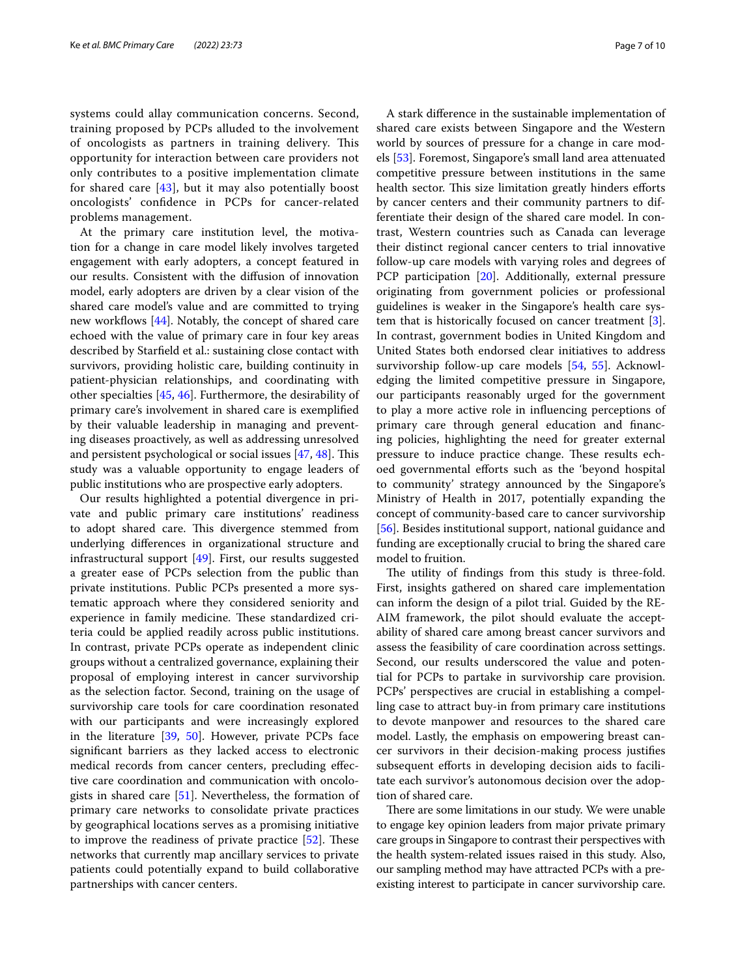systems could allay communication concerns. Second, training proposed by PCPs alluded to the involvement of oncologists as partners in training delivery. This opportunity for interaction between care providers not only contributes to a positive implementation climate for shared care  $[43]$  $[43]$ , but it may also potentially boost oncologists' confdence in PCPs for cancer-related problems management.

At the primary care institution level, the motivation for a change in care model likely involves targeted engagement with early adopters, a concept featured in our results. Consistent with the difusion of innovation model, early adopters are driven by a clear vision of the shared care model's value and are committed to trying new workflows  $[44]$ . Notably, the concept of shared care echoed with the value of primary care in four key areas described by Starfeld et al.: sustaining close contact with survivors, providing holistic care, building continuity in patient-physician relationships, and coordinating with other specialties [\[45](#page-8-26), [46\]](#page-8-27). Furthermore, the desirability of primary care's involvement in shared care is exemplifed by their valuable leadership in managing and preventing diseases proactively, as well as addressing unresolved and persistent psychological or social issues  $[47, 48]$  $[47, 48]$  $[47, 48]$ . This study was a valuable opportunity to engage leaders of public institutions who are prospective early adopters.

Our results highlighted a potential divergence in private and public primary care institutions' readiness to adopt shared care. This divergence stemmed from underlying diferences in organizational structure and infrastructural support [[49\]](#page-8-30). First, our results suggested a greater ease of PCPs selection from the public than private institutions. Public PCPs presented a more systematic approach where they considered seniority and experience in family medicine. These standardized criteria could be applied readily across public institutions. In contrast, private PCPs operate as independent clinic groups without a centralized governance, explaining their proposal of employing interest in cancer survivorship as the selection factor. Second, training on the usage of survivorship care tools for care coordination resonated with our participants and were increasingly explored in the literature [\[39](#page-8-20), [50](#page-8-31)]. However, private PCPs face signifcant barriers as they lacked access to electronic medical records from cancer centers, precluding efective care coordination and communication with oncologists in shared care [\[51](#page-8-32)]. Nevertheless, the formation of primary care networks to consolidate private practices by geographical locations serves as a promising initiative to improve the readiness of private practice  $[52]$  $[52]$ . These networks that currently map ancillary services to private patients could potentially expand to build collaborative partnerships with cancer centers.

A stark diference in the sustainable implementation of shared care exists between Singapore and the Western world by sources of pressure for a change in care models [\[53](#page-8-34)]. Foremost, Singapore's small land area attenuated competitive pressure between institutions in the same health sector. This size limitation greatly hinders efforts by cancer centers and their community partners to differentiate their design of the shared care model. In contrast, Western countries such as Canada can leverage their distinct regional cancer centers to trial innovative follow-up care models with varying roles and degrees of PCP participation [[20\]](#page-8-5). Additionally, external pressure originating from government policies or professional guidelines is weaker in the Singapore's health care system that is historically focused on cancer treatment [\[3](#page-7-2)]. In contrast, government bodies in United Kingdom and United States both endorsed clear initiatives to address survivorship follow-up care models [[54](#page-9-0), [55\]](#page-9-1). Acknowledging the limited competitive pressure in Singapore, our participants reasonably urged for the government to play a more active role in infuencing perceptions of primary care through general education and fnancing policies, highlighting the need for greater external pressure to induce practice change. These results echoed governmental efforts such as the 'beyond hospital to community' strategy announced by the Singapore's Ministry of Health in 2017, potentially expanding the concept of community-based care to cancer survivorship [[56\]](#page-9-2). Besides institutional support, national guidance and funding are exceptionally crucial to bring the shared care model to fruition.

The utility of findings from this study is three-fold. First, insights gathered on shared care implementation can inform the design of a pilot trial. Guided by the RE-AIM framework, the pilot should evaluate the acceptability of shared care among breast cancer survivors and assess the feasibility of care coordination across settings. Second, our results underscored the value and potential for PCPs to partake in survivorship care provision. PCPs' perspectives are crucial in establishing a compelling case to attract buy-in from primary care institutions to devote manpower and resources to the shared care model. Lastly, the emphasis on empowering breast cancer survivors in their decision-making process justifes subsequent efforts in developing decision aids to facilitate each survivor's autonomous decision over the adoption of shared care.

There are some limitations in our study. We were unable to engage key opinion leaders from major private primary care groups in Singapore to contrast their perspectives with the health system-related issues raised in this study. Also, our sampling method may have attracted PCPs with a preexisting interest to participate in cancer survivorship care.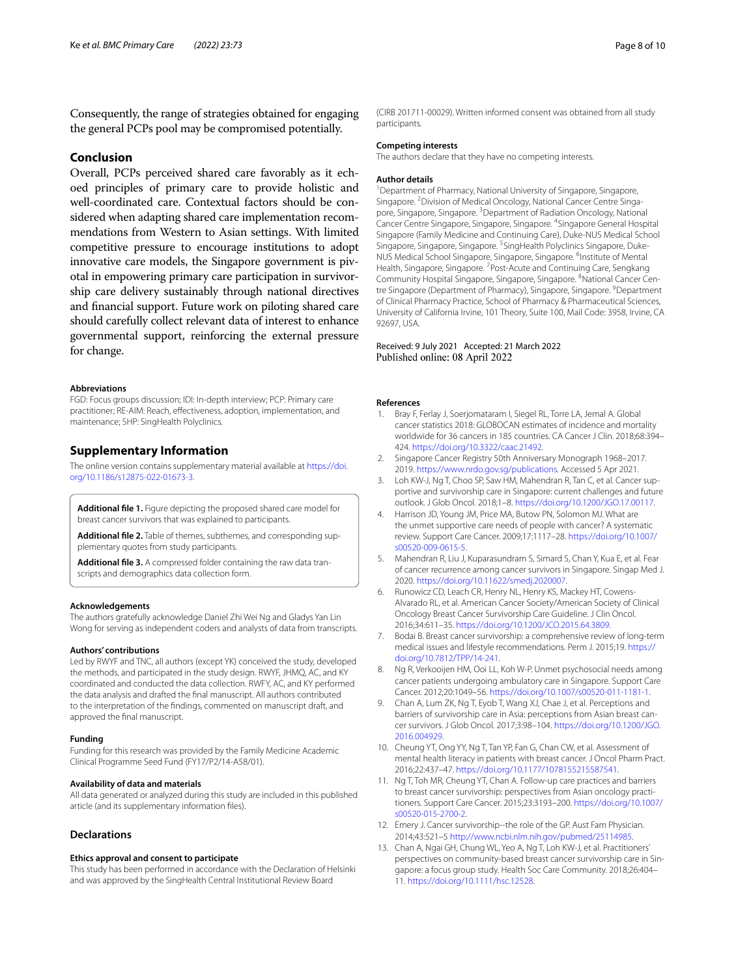Consequently, the range of strategies obtained for engaging the general PCPs pool may be compromised potentially.

## **Conclusion**

Overall, PCPs perceived shared care favorably as it echoed principles of primary care to provide holistic and well-coordinated care. Contextual factors should be considered when adapting shared care implementation recommendations from Western to Asian settings. With limited competitive pressure to encourage institutions to adopt innovative care models, the Singapore government is pivotal in empowering primary care participation in survivorship care delivery sustainably through national directives and fnancial support. Future work on piloting shared care should carefully collect relevant data of interest to enhance governmental support, reinforcing the external pressure for change.

#### **Abbreviations**

FGD: Focus groups discussion; IDI: In-depth interview; PCP: Primary care practitioner; RE-AIM: Reach, effectiveness, adoption, implementation, and maintenance; SHP: SingHealth Polyclinics.

## **Supplementary Information**

The online version contains supplementary material available at [https://doi.](https://doi.org/10.1186/s12875-022-01673-3) [org/10.1186/s12875-022-01673-3](https://doi.org/10.1186/s12875-022-01673-3).

<span id="page-7-11"></span><span id="page-7-10"></span>**Additional fle 1.** Figure depicting the proposed shared care model for breast cancer survivors that was explained to participants.

Additional file 2. Table of themes, subthemes, and corresponding supplementary quotes from study participants.

Additional file 3. A compressed folder containing the raw data transcripts and demographics data collection form.

#### **Acknowledgements**

The authors gratefully acknowledge Daniel Zhi Wei Ng and Gladys Yan Lin Wong for serving as independent coders and analysts of data from transcripts.

## **Authors' contributions**

Led by RWYF and TNC, all authors (except YK) conceived the study, developed the methods, and participated in the study design. RWYF, JHMQ, AC, and KY coordinated and conducted the data collection. RWFY, AC, and KY performed the data analysis and drafted the fnal manuscript. All authors contributed to the interpretation of the fndings, commented on manuscript draft, and approved the fnal manuscript.

#### **Funding**

Funding for this research was provided by the Family Medicine Academic Clinical Programme Seed Fund (FY17/P2/14-A58/01).

#### **Availability of data and materials**

All data generated or analyzed during this study are included in this published article (and its supplementary information fles).

#### **Declarations**

#### **Ethics approval and consent to participate**

This study has been performed in accordance with the Declaration of Helsinki and was approved by the SingHealth Central Institutional Review Board

(CIRB 201711-00029). Written informed consent was obtained from all study participants.

#### **Competing interests**

The authors declare that they have no competing interests.

#### **Author details**

<sup>1</sup> Department of Pharmacy, National University of Singapore, Singapore, Singapore. <sup>2</sup> Division of Medical Oncology, National Cancer Centre Singapore, Singapore, Singapore.<sup>3</sup> Department of Radiation Oncology, National Cancer Centre Singapore, Singapore, Singapore. 4 Singapore General Hospital Singapore (Family Medicine and Continuing Care), Duke-NUS Medical School Singapore, Singapore, Singapore. <sup>5</sup>SingHealth Polyclinics Singapore, Duke-NUS Medical School Singapore, Singapore, Singapore. <sup>6</sup>Institute of Mental Health, Singapore, Singapore. <sup>7</sup> Post-Acute and Continuing Care, Sengkang Community Hospital Singapore, Singapore, Singapore. <sup>8</sup>National Cancer Centre Singapore (Department of Pharmacy), Singapore, Singapore. <sup>9</sup> Department of Clinical Pharmacy Practice, School of Pharmacy & Pharmaceutical Sciences, University of California Irvine, 101 Theory, Suite 100, Mail Code: 3958, Irvine, CA 92697, USA.

### Received: 9 July 2021 Accepted: 21 March 2022 Published online: 08 April 2022

#### **References**

- <span id="page-7-0"></span>Bray F, Ferlay J, Soerjomataram I, Siegel RL, Torre LA, Jemal A. Global cancer statistics 2018: GLOBOCAN estimates of incidence and mortality worldwide for 36 cancers in 185 countries. CA Cancer J Clin. 2018;68:394– 424. [https://doi.org/10.3322/caac.21492.](https://doi.org/10.3322/caac.21492)
- <span id="page-7-1"></span>2. Singapore Cancer Registry 50th Anniversary Monograph 1968–2017. 2019.<https://www.nrdo.gov.sg/publications>. Accessed 5 Apr 2021.
- <span id="page-7-2"></span>3. Loh KW-J, Ng T, Choo SP, Saw HM, Mahendran R, Tan C, et al. Cancer supportive and survivorship care in Singapore: current challenges and future outlook. J Glob Oncol. 2018;1–8. <https://doi.org/10.1200/JGO.17.00117>.
- <span id="page-7-3"></span>4. Harrison JD, Young JM, Price MA, Butow PN, Solomon MJ. What are the unmet supportive care needs of people with cancer? A systematic review. Support Care Cancer. 2009;17:1117–28. [https://doi.org/10.1007/](https://doi.org/10.1007/s00520-009-0615-5) [s00520-009-0615-5.](https://doi.org/10.1007/s00520-009-0615-5)
- 5. Mahendran R, Liu J, Kuparasundram S, Simard S, Chan Y, Kua E, et al. Fear of cancer recurrence among cancer survivors in Singapore. Singap Med J. 2020. [https://doi.org/10.11622/smedj.2020007.](https://doi.org/10.11622/smedj.2020007)
- 6. Runowicz CD, Leach CR, Henry NL, Henry KS, Mackey HT, Cowens-Alvarado RL, et al. American Cancer Society/American Society of Clinical Oncology Breast Cancer Survivorship Care Guideline. J Clin Oncol. 2016;34:611–35.<https://doi.org/10.1200/JCO.2015.64.3809>.
- <span id="page-7-4"></span>7. Bodai B. Breast cancer survivorship: a comprehensive review of long-term medical issues and lifestyle recommendations. Perm J. 2015;19. [https://](https://doi.org/10.7812/TPP/14-241) [doi.org/10.7812/TPP/14-241.](https://doi.org/10.7812/TPP/14-241)
- <span id="page-7-5"></span>8. Ng R, Verkooijen HM, Ooi LL, Koh W-P. Unmet psychosocial needs among cancer patients undergoing ambulatory care in Singapore. Support Care Cancer. 2012;20:1049–56.<https://doi.org/10.1007/s00520-011-1181-1>.
- 9. Chan A, Lum ZK, Ng T, Eyob T, Wang XJ, Chae J, et al. Perceptions and barriers of survivorship care in Asia: perceptions from Asian breast cancer survivors. J Glob Oncol. 2017;3:98–104. [https://doi.org/10.1200/JGO.](https://doi.org/10.1200/JGO.2016.004929) [2016.004929](https://doi.org/10.1200/JGO.2016.004929).
- <span id="page-7-6"></span>10. Cheung YT, Ong YY, Ng T, Tan YP, Fan G, Chan CW, et al. Assessment of mental health literacy in patients with breast cancer. J Oncol Pharm Pract. 2016;22:437–47. [https://doi.org/10.1177/1078155215587541.](https://doi.org/10.1177/1078155215587541)
- <span id="page-7-7"></span>11. Ng T, Toh MR, Cheung YT, Chan A. Follow-up care practices and barriers to breast cancer survivorship: perspectives from Asian oncology practitioners. Support Care Cancer. 2015;23:3193–200. [https://doi.org/10.1007/](https://doi.org/10.1007/s00520-015-2700-2) [s00520-015-2700-2.](https://doi.org/10.1007/s00520-015-2700-2)
- <span id="page-7-8"></span>12. Emery J. Cancer survivorship--the role of the GP. Aust Fam Physician. 2014;43:521–5 [http://www.ncbi.nlm.nih.gov/pubmed/25114985.](http://www.ncbi.nlm.nih.gov/pubmed/25114985)
- <span id="page-7-9"></span>13. Chan A, Ngai GH, Chung WL, Yeo A, Ng T, Loh KW-J, et al. Practitioners' perspectives on community-based breast cancer survivorship care in Singapore: a focus group study. Health Soc Care Community. 2018;26:404– 11. [https://doi.org/10.1111/hsc.12528.](https://doi.org/10.1111/hsc.12528)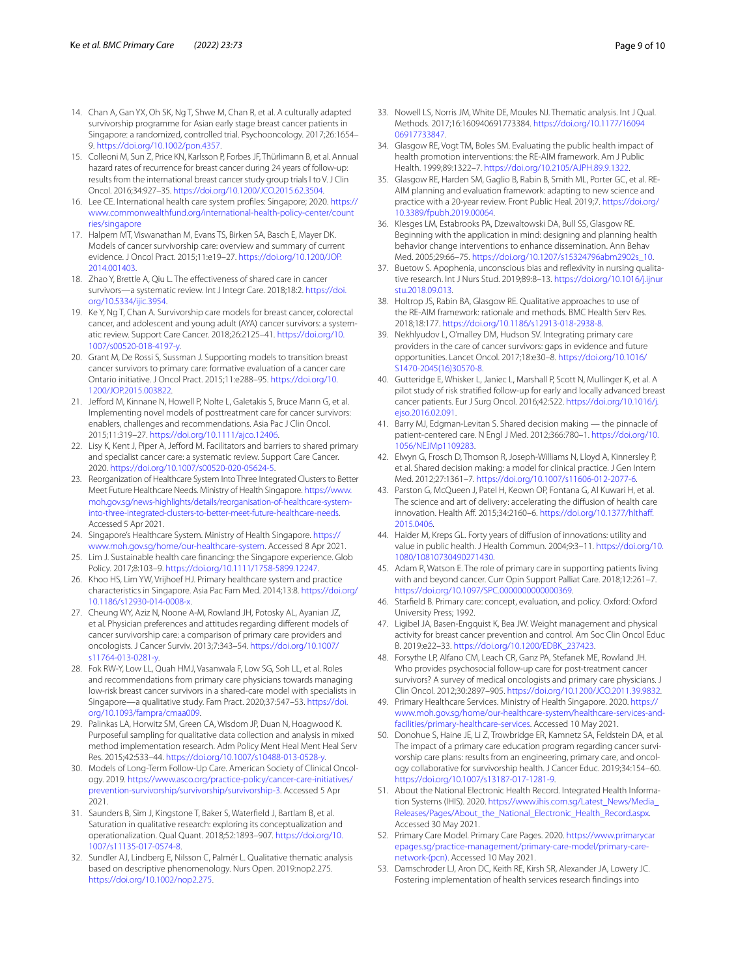- <span id="page-8-0"></span>14. Chan A, Gan YX, Oh SK, Ng T, Shwe M, Chan R, et al. A culturally adapted survivorship programme for Asian early stage breast cancer patients in Singapore: a randomized, controlled trial. Psychooncology. 2017;26:1654– 9.<https://doi.org/10.1002/pon.4357>.
- <span id="page-8-1"></span>15. Colleoni M, Sun Z, Price KN, Karlsson P, Forbes JF, Thürlimann B, et al. Annual hazard rates of recurrence for breast cancer during 24 years of follow-up: results from the international breast cancer study group trials I to V. J Clin Oncol. 2016;34:927–35.<https://doi.org/10.1200/JCO.2015.62.3504>.
- <span id="page-8-2"></span>16. Lee CE. International health care system profles: Singapore; 2020. [https://](https://www.commonwealthfund.org/international-health-policy-center/countries/singapore) [www.commonwealthfund.org/international-health-policy-center/count](https://www.commonwealthfund.org/international-health-policy-center/countries/singapore) [ries/singapore](https://www.commonwealthfund.org/international-health-policy-center/countries/singapore)
- <span id="page-8-3"></span>17. Halpern MT, Viswanathan M, Evans TS, Birken SA, Basch E, Mayer DK. Models of cancer survivorship care: overview and summary of current evidence. J Oncol Pract. 2015;11:e19–27. [https://doi.org/10.1200/JOP.](https://doi.org/10.1200/JOP.2014.001403) [2014.001403.](https://doi.org/10.1200/JOP.2014.001403)
- 18. Zhao Y, Brettle A, Qiu L. The effectiveness of shared care in cancer survivors—a systematic review. Int J Integr Care. 2018;18:2. [https://doi.](https://doi.org/10.5334/ijic.3954) [org/10.5334/ijic.3954](https://doi.org/10.5334/ijic.3954).
- <span id="page-8-4"></span>19. Ke Y, Ng T, Chan A. Survivorship care models for breast cancer, colorectal cancer, and adolescent and young adult (AYA) cancer survivors: a systematic review. Support Care Cancer. 2018;26:2125–41. [https://doi.org/10.](https://doi.org/10.1007/s00520-018-4197-y) [1007/s00520-018-4197-y](https://doi.org/10.1007/s00520-018-4197-y).
- <span id="page-8-5"></span>20. Grant M, De Rossi S, Sussman J. Supporting models to transition breast cancer survivors to primary care: formative evaluation of a cancer care Ontario initiative. J Oncol Pract. 2015;11:e288–95. [https://doi.org/10.](https://doi.org/10.1200/JOP.2015.003822) [1200/JOP.2015.003822.](https://doi.org/10.1200/JOP.2015.003822)
- 21. Jefford M, Kinnane N, Howell P, Nolte L, Galetakis S, Bruce Mann G, et al. Implementing novel models of posttreatment care for cancer survivors: enablers, challenges and recommendations. Asia Pac J Clin Oncol. 2015;11:319–27. [https://doi.org/10.1111/ajco.12406.](https://doi.org/10.1111/ajco.12406)
- <span id="page-8-6"></span>22. Lisy K, Kent J, Piper A, Jefford M. Facilitators and barriers to shared primary and specialist cancer care: a systematic review. Support Care Cancer. 2020. [https://doi.org/10.1007/s00520-020-05624-5.](https://doi.org/10.1007/s00520-020-05624-5)
- <span id="page-8-7"></span>23. Reorganization of Healthcare System Into Three Integrated Clusters to Better Meet Future Healthcare Needs. Ministry of Health Singapore. [https://www.](https://www.moh.gov.sg/news-highlights/details/reorganisation-of-healthcare-system-into-three-integrated-clusters-to-better-meet-future-healthcare-needs) [moh.gov.sg/news-highlights/details/reorganisation-of-healthcare-system](https://www.moh.gov.sg/news-highlights/details/reorganisation-of-healthcare-system-into-three-integrated-clusters-to-better-meet-future-healthcare-needs) [into-three-integrated-clusters-to-better-meet-future-healthcare-needs](https://www.moh.gov.sg/news-highlights/details/reorganisation-of-healthcare-system-into-three-integrated-clusters-to-better-meet-future-healthcare-needs). Accessed 5 Apr 2021.
- 24. Singapore's Healthcare System. Ministry of Health Singapore. [https://](https://www.moh.gov.sg/home/our-healthcare-system) [www.moh.gov.sg/home/our-healthcare-system](https://www.moh.gov.sg/home/our-healthcare-system). Accessed 8 Apr 2021.
- 25. Lim J. Sustainable health care fnancing: the Singapore experience. Glob Policy. 2017;8:103–9.<https://doi.org/10.1111/1758-5899.12247>.
- <span id="page-8-8"></span>26. Khoo HS, Lim YW, Vrijhoef HJ. Primary healthcare system and practice characteristics in Singapore. Asia Pac Fam Med. 2014;13:8. [https://doi.org/](https://doi.org/10.1186/s12930-014-0008-x) [10.1186/s12930-014-0008-x](https://doi.org/10.1186/s12930-014-0008-x).
- <span id="page-8-9"></span>27. Cheung WY, Aziz N, Noone A-M, Rowland JH, Potosky AL, Ayanian JZ, et al. Physician preferences and attitudes regarding diferent models of cancer survivorship care: a comparison of primary care providers and oncologists. J Cancer Surviv. 2013;7:343–54. [https://doi.org/10.1007/](https://doi.org/10.1007/s11764-013-0281-y) [s11764-013-0281-y](https://doi.org/10.1007/s11764-013-0281-y).
- <span id="page-8-10"></span>28. Fok RW-Y, Low LL, Quah HMJ, Vasanwala F, Low SG, Soh LL, et al. Roles and recommendations from primary care physicians towards managing low-risk breast cancer survivors in a shared-care model with specialists in Singapore—a qualitative study. Fam Pract. 2020;37:547–53. [https://doi.](https://doi.org/10.1093/fampra/cmaa009) [org/10.1093/fampra/cmaa009.](https://doi.org/10.1093/fampra/cmaa009)
- <span id="page-8-11"></span>29. Palinkas LA, Horwitz SM, Green CA, Wisdom JP, Duan N, Hoagwood K. Purposeful sampling for qualitative data collection and analysis in mixed method implementation research. Adm Policy Ment Heal Ment Heal Serv Res. 2015;42:533–44. [https://doi.org/10.1007/s10488-013-0528-y.](https://doi.org/10.1007/s10488-013-0528-y)
- <span id="page-8-12"></span>30. Models of Long-Term Follow-Up Care. American Society of Clinical Oncology. 2019. [https://www.asco.org/practice-policy/cancer-care-initiatives/](https://www.asco.org/practice-policy/cancer-care-initiatives/prevention-survivorship/survivorship/survivorship-3) [prevention-survivorship/survivorship/survivorship-3.](https://www.asco.org/practice-policy/cancer-care-initiatives/prevention-survivorship/survivorship/survivorship-3) Accessed 5 Apr 2021.
- <span id="page-8-13"></span>31. Saunders B, Sim J, Kingstone T, Baker S, Waterfeld J, Bartlam B, et al. Saturation in qualitative research: exploring its conceptualization and operationalization. Qual Quant. 2018;52:1893–907. [https://doi.org/10.](https://doi.org/10.1007/s11135-017-0574-8) [1007/s11135-017-0574-8](https://doi.org/10.1007/s11135-017-0574-8).
- <span id="page-8-14"></span>32. Sundler AJ, Lindberg E, Nilsson C, Palmér L. Qualitative thematic analysis based on descriptive phenomenology. Nurs Open. 2019:nop2.275. [https://doi.org/10.1002/nop2.275.](https://doi.org/10.1002/nop2.275)
- <span id="page-8-15"></span>33. Nowell LS, Norris JM, White DE, Moules NJ. Thematic analysis. Int J Qual. Methods. 2017;16:160940691773384. [https://doi.org/10.1177/16094](https://doi.org/10.1177/1609406917733847) [06917733847](https://doi.org/10.1177/1609406917733847).
- 34. Glasgow RE, Vogt TM, Boles SM. Evaluating the public health impact of health promotion interventions: the RE-AIM framework. Am J Public Health. 1999;89:1322–7. [https://doi.org/10.2105/AJPH.89.9.1322.](https://doi.org/10.2105/AJPH.89.9.1322)
- <span id="page-8-17"></span>35. Glasgow RE, Harden SM, Gaglio B, Rabin B, Smith ML, Porter GC, et al. RE-AIM planning and evaluation framework: adapting to new science and practice with a 20-year review. Front Public Heal. 2019;7. [https://doi.org/](https://doi.org/10.3389/fpubh.2019.00064) [10.3389/fpubh.2019.00064](https://doi.org/10.3389/fpubh.2019.00064).
- <span id="page-8-16"></span>36. Klesges LM, Estabrooks PA, Dzewaltowski DA, Bull SS, Glasgow RE. Beginning with the application in mind: designing and planning health behavior change interventions to enhance dissemination. Ann Behav Med. 2005;29:66–75. [https://doi.org/10.1207/s15324796abm2902s\\_10](https://doi.org/10.1207/s15324796abm2902s_10).
- <span id="page-8-18"></span>37. Buetow S. Apophenia, unconscious bias and reflexivity in nursing qualitative research. Int J Nurs Stud. 2019;89:8–13. [https://doi.org/10.1016/j.ijnur](https://doi.org/10.1016/j.ijnurstu.2018.09.013) [stu.2018.09.013.](https://doi.org/10.1016/j.ijnurstu.2018.09.013)
- <span id="page-8-19"></span>38. Holtrop JS, Rabin BA, Glasgow RE. Qualitative approaches to use of the RE-AIM framework: rationale and methods. BMC Health Serv Res. 2018;18:177.<https://doi.org/10.1186/s12913-018-2938-8>.
- <span id="page-8-20"></span>39. Nekhlyudov L, O'malley DM, Hudson SV. Integrating primary care providers in the care of cancer survivors: gaps in evidence and future opportunities. Lancet Oncol. 2017;18:e30–8. [https://doi.org/10.1016/](https://doi.org/10.1016/S1470-2045(16)30570-8) [S1470-2045\(16\)30570-8](https://doi.org/10.1016/S1470-2045(16)30570-8).
- <span id="page-8-21"></span>40. Gutteridge E, Whisker L, Janiec L, Marshall P, Scott N, Mullinger K, et al. A pilot study of risk stratifed follow-up for early and locally advanced breast cancer patients. Eur J Surg Oncol. 2016;42:S22. [https://doi.org/10.1016/j.](https://doi.org/10.1016/j.ejso.2016.02.091) [ejso.2016.02.091](https://doi.org/10.1016/j.ejso.2016.02.091).
- <span id="page-8-22"></span>41. Barry MJ, Edgman-Levitan S. Shared decision making — the pinnacle of patient-centered care. N Engl J Med. 2012;366:780–1. [https://doi.org/10.](https://doi.org/10.1056/NEJMp1109283) [1056/NEJMp1109283.](https://doi.org/10.1056/NEJMp1109283)
- <span id="page-8-23"></span>42. Elwyn G, Frosch D, Thomson R, Joseph-Williams N, Lloyd A, Kinnersley P, et al. Shared decision making: a model for clinical practice. J Gen Intern Med. 2012;27:1361–7. [https://doi.org/10.1007/s11606-012-2077-6.](https://doi.org/10.1007/s11606-012-2077-6)
- <span id="page-8-24"></span>43. Parston G, McQueen J, Patel H, Keown OP, Fontana G, Al Kuwari H, et al. The science and art of delivery: accelerating the difusion of health care innovation. Health Aff. 2015;34:2160-6. https://doi.org/10.1377/hlthaff. [2015.0406](https://doi.org/10.1377/hlthaff.2015.0406).
- <span id="page-8-25"></span>44. Haider M, Kreps GL. Forty years of difusion of innovations: utility and value in public health. J Health Commun. 2004;9:3–11. [https://doi.org/10.](https://doi.org/10.1080/10810730490271430) [1080/10810730490271430](https://doi.org/10.1080/10810730490271430).
- <span id="page-8-26"></span>45. Adam R, Watson E. The role of primary care in supporting patients living with and beyond cancer. Curr Opin Support Palliat Care. 2018;12:261–7. [https://doi.org/10.1097/SPC.0000000000000369.](https://doi.org/10.1097/SPC.0000000000000369)
- <span id="page-8-27"></span>46. Starfeld B. Primary care: concept, evaluation, and policy. Oxford: Oxford University Press; 1992.
- <span id="page-8-28"></span>47. Ligibel JA, Basen-Engquist K, Bea JW. Weight management and physical activity for breast cancer prevention and control. Am Soc Clin Oncol Educ B. 2019:e22–33. [https://doi.org/10.1200/EDBK\\_237423.](https://doi.org/10.1200/EDBK_237423)
- <span id="page-8-29"></span>48. Forsythe LP, Alfano CM, Leach CR, Ganz PA, Stefanek ME, Rowland JH. Who provides psychosocial follow-up care for post-treatment cancer survivors? A survey of medical oncologists and primary care physicians. J Clin Oncol. 2012;30:2897–905. <https://doi.org/10.1200/JCO.2011.39.9832>.
- <span id="page-8-30"></span>49. Primary Healthcare Services. Ministry of Health Singapore. 2020. [https://](https://www.moh.gov.sg/home/our-healthcare-system/healthcare-services-and-facilities/primary-healthcare-services) [www.moh.gov.sg/home/our-healthcare-system/healthcare-services-and](https://www.moh.gov.sg/home/our-healthcare-system/healthcare-services-and-facilities/primary-healthcare-services) [facilities/primary-healthcare-services](https://www.moh.gov.sg/home/our-healthcare-system/healthcare-services-and-facilities/primary-healthcare-services). Accessed 10 May 2021.
- <span id="page-8-31"></span>50. Donohue S, Haine JE, Li Z, Trowbridge ER, Kamnetz SA, Feldstein DA, et al. The impact of a primary care education program regarding cancer survivorship care plans: results from an engineering, primary care, and oncology collaborative for survivorship health. J Cancer Educ. 2019;34:154–60. [https://doi.org/10.1007/s13187-017-1281-9.](https://doi.org/10.1007/s13187-017-1281-9)
- <span id="page-8-32"></span>51. About the National Electronic Health Record. Integrated Health Information Systems (IHIS). 2020. [https://www.ihis.com.sg/Latest\\_News/Media\\_](https://www.ihis.com.sg/Latest_News/Media_Releases/Pages/About_the_National_Electronic_Health_Record.aspx) [Releases/Pages/About\\_the\\_National\\_Electronic\\_Health\\_Record.aspx](https://www.ihis.com.sg/Latest_News/Media_Releases/Pages/About_the_National_Electronic_Health_Record.aspx). Accessed 30 May 2021.
- <span id="page-8-33"></span>52. Primary Care Model. Primary Care Pages. 2020. [https://www.primarycar](https://www.primarycarepages.sg/practice-management/primary-care-model/primary-care-network-(pcn)) [epages.sg/practice-management/primary-care-model/primary-care](https://www.primarycarepages.sg/practice-management/primary-care-model/primary-care-network-(pcn)) [network-\(pcn\)](https://www.primarycarepages.sg/practice-management/primary-care-model/primary-care-network-(pcn)). Accessed 10 May 2021.
- <span id="page-8-34"></span>53. Damschroder LJ, Aron DC, Keith RE, Kirsh SR, Alexander JA, Lowery JC. Fostering implementation of health services research fndings into